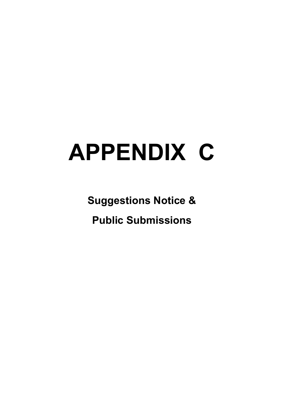# **APPENDIX C**

**Suggestions Notice & Public Submissions**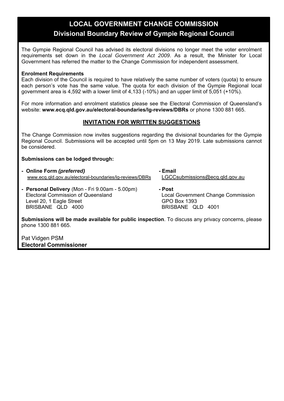### **LOCAL GOVERNMENT CHANGE COMMISSION Divisional Boundary Review of Gympie Regional Council**

The Gympie Regional Council has advised its electoral divisions no longer meet the voter enrolment requirements set down in the *Local Government Act 2009*. As a result, the Minister for Local Government has referred the matter to the Change Commission for independent assessment.

#### **Enrolment Requirements**

Each division of the Council is required to have relatively the same number of voters (quota) to ensure each person's vote has the same value. The quota for each division of the Gympie Regional local government area is 4,592 with a lower limit of 4,133 (-10%) and an upper limit of 5,051 (+10%).

For more information and enrolment statistics please see the Electoral Commission of Queensland's website: **www.ecq.qld.gov.au/electoral-boundaries/lg-reviews/DBRs** or phone 1300 881 665.

#### **INVITATION FOR WRITTEN SUGGESTIONS**

The Change Commission now invites suggestions regarding the divisional boundaries for the Gympie Regional Council. Submissions will be accepted until 5pm on 13 May 2019. Late submissions cannot be considered.

#### **Submissions can be lodged through:**

| - Online Form (preferred)                               | - Email                            |
|---------------------------------------------------------|------------------------------------|
| www.ecq.qld.gov.au/electoral-boundaries/lg-reviews/DBRs | LGCCsubmissions@ecq.qld.gov.au     |
| - Personal Delivery (Mon - Fri 9.00am - 5.00pm)         | - Post                             |
| <b>Electoral Commission of Queensland</b>               | Local Government Change Commission |
| Level 20, 1 Eagle Street                                | <b>GPO Box 1393</b>                |
| BRISBANE QLD 4000                                       | BRISBANE QLD 4001                  |

**Submissions will be made available for public inspection**. To discuss any privacy concerns, please phone 1300 881 665.

Pat Vidgen PSM **Electoral Commissioner**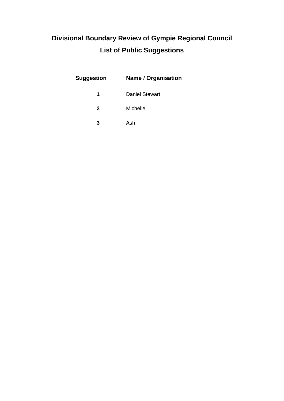## **Divisional Boundary Review of Gympie Regional Council List of Public Suggestions**

| Suggestion | Name / Organisation   |
|------------|-----------------------|
|            | <b>Daniel Stewart</b> |
| 2          | Michelle              |
| 3          | Ash                   |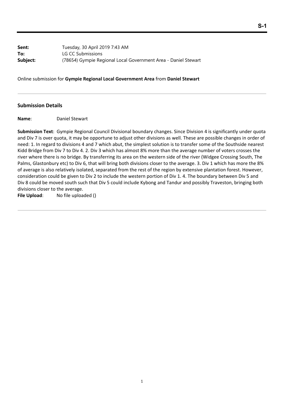**Sent:** Tuesday, 30 April 2019 7:43 AM **To:** LG CC Submissions **Subject:** (78654) Gympie Regional Local Government Area - Daniel Stewart

Online submission for **Gympie Regional Local Government Area** from **Daniel Stewart**

#### **Submission Details**

**Name**: Daniel Stewart

**Submission Text**: Gympie Regional Council Divisional boundary changes. Since Division 4 is significantly under quota and Div 7 is over quota, it may be opportune to adjust other divisions as well. These are possible changes in order of need: 1. In regard to divisions 4 and 7 which abut, the simplest solution is to transfer some of the Southside nearest Kidd Bridge from Div 7 to Div 4. 2. Div 3 which has almost 8% more than the average number of voters crosses the river where there is no bridge. By transferring its area on the western side of the river (Widgee Crossing South, The Palms, Glastonbury etc) to Div 6, that will bring both divisions closer to the average. 3. Div 1 which has more the 8% of average is also relatively isolated, separated from the rest of the region by extensive plantation forest. However, consideration could be given to Div 2 to include the western portion of Div 1. 4. The boundary between Div 5 and Div 8 could be moved south such that Div 5 could include Kybong and Tandur and possibly Traveston, bringing both divisions closer to the average.

File Upload: No file uploaded ()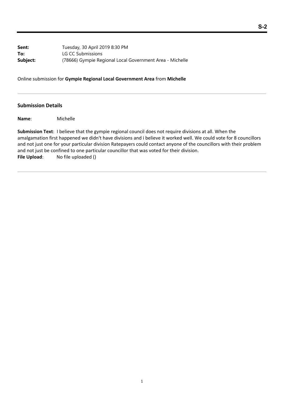**Sent:** Tuesday, 30 April 2019 8:30 PM **To:** LG CC Submissions **Subject:** (78666) Gympie Regional Local Government Area - Michelle

Online submission for **Gympie Regional Local Government Area** from **Michelle**

#### **Submission Details**

**Name**: Michelle

**Submission Text**: I believe that the gympie regional council does not require divisions at all. When the amalgamation first happened we didn't have divisions and i believe it worked well. We could vote for 8 councillors and not just one for your particular division Ratepayers could contact anyone of the councillors with their problem and not just be confined to one particular councillor that was voted for their division. File Upload: No file uploaded ()